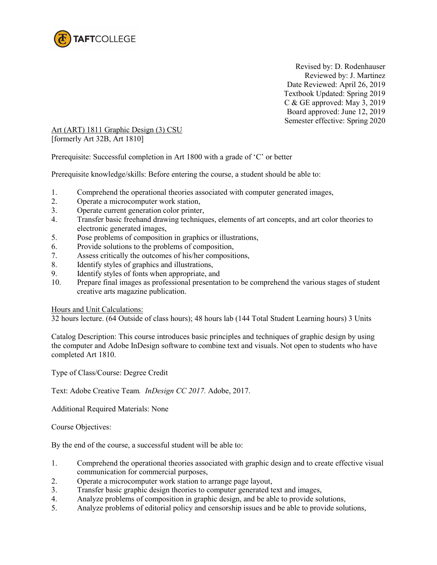

 Revised by: D. Rodenhauser Reviewed by: J. Martinez Date Reviewed: April 26, 2019 Textbook Updated: Spring 2019 C & GE approved: May 3, 2019 Board approved: June 12, 2019 Semester effective: Spring 2020

Art (ART) 1811 Graphic Design (3) CSU [formerly Art 32B, Art 1810]

Prerequisite: Successful completion in Art 1800 with a grade of 'C' or better

Prerequisite knowledge/skills: Before entering the course, a student should be able to:

- 1. Comprehend the operational theories associated with computer generated images,
- 2. Operate a microcomputer work station,
- 3. Operate current generation color printer,
- 4. Transfer basic freehand drawing techniques, elements of art concepts, and art color theories to electronic generated images,
- 5. Pose problems of composition in graphics or illustrations,
- 6. Provide solutions to the problems of composition,
- 7. Assess critically the outcomes of his/her compositions,
- 8. Identify styles of graphics and illustrations,
- 9. Identify styles of fonts when appropriate, and
- 10. Prepare final images as professional presentation to be comprehend the various stages of student creative arts magazine publication.

### Hours and Unit Calculations:

32 hours lecture. (64 Outside of class hours); 48 hours lab (144 Total Student Learning hours) 3 Units

Catalog Description: This course introduces basic principles and techniques of graphic design by using the computer and Adobe InDesign software to combine text and visuals. Not open to students who have completed Art 1810.

Type of Class/Course: Degree Credit

Text: Adobe Creative Team*. InDesign CC 2017.* Adobe, 2017.

Additional Required Materials: None

Course Objectives:

By the end of the course, a successful student will be able to:

- 1. Comprehend the operational theories associated with graphic design and to create effective visual communication for commercial purposes,
- 2. Operate a microcomputer work station to arrange page layout,
- 3. Transfer basic graphic design theories to computer generated text and images,
- 4. Analyze problems of composition in graphic design, and be able to provide solutions,<br>Analyze problems of editorial policy and censorship issues and be able to provide solutions.
- Analyze problems of editorial policy and censorship issues and be able to provide solutions,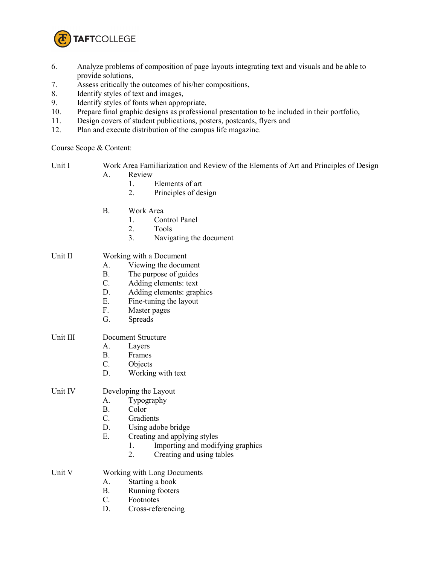

- 6. Analyze problems of composition of page layouts integrating text and visuals and be able to provide solutions,
- 7. Assess critically the outcomes of his/her compositions,
- 8. Identify styles of text and images,
- 9. Identify styles of fonts when appropriate,
- 10. Prepare final graphic designs as professional presentation to be included in their portfolio,
- 11. Design covers of student publications, posters, postcards, flyers and
- 12. Plan and execute distribution of the campus life magazine.

Course Scope & Content:

Unit I Work Area Familiarization and Review of the Elements of Art and Principles of Design A. Review

- 1. Elements of art
- 2. Principles of design
- B. Work Area
	- 1. Control Panel
	- 2. Tools
	- 3. Navigating the document

## Unit II Working with a Document

- A. Viewing the document
- B. The purpose of guides
- C. Adding elements: text
- D. Adding elements: graphics
- E. Fine-tuning the layout F. Master pages
- Master pages
- G. Spreads

# Unit III Document Structure

- A. Layers
- B. Frames
- C. Objects
- D. Working with text

## Unit IV Developing the Layout

- A. Typography
- B. Color
- C. Gradients
- D. Using adobe bridge<br>E. Creating and applying
- Creating and applying styles
	- 1. Importing and modifying graphics
	- 2. Creating and using tables
- Unit V Working with Long Documents
	- A. Starting a book
	- B. Running footers
	- C. Footnotes
	- D. Cross-referencing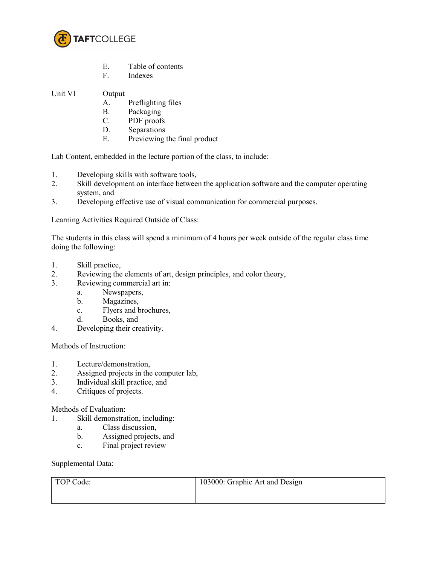

- E. Table of contents<br>F. Indexes
- **Indexes**

Unit VI Output

- A. Preflighting files
- B. Packaging
- C. PDF proofs
- D. Separations
- E. Previewing the final product

Lab Content, embedded in the lecture portion of the class, to include:

- 1. Developing skills with software tools,
- 2. Skill development on interface between the application software and the computer operating system, and
- 3. Developing effective use of visual communication for commercial purposes.

Learning Activities Required Outside of Class:

The students in this class will spend a minimum of 4 hours per week outside of the regular class time doing the following:

- 1. Skill practice,
- 2. Reviewing the elements of art, design principles, and color theory,
- 3. Reviewing commercial art in:
	- a. Newspapers,
	- b. Magazines,
	- c. Flyers and brochures,
	- d. Books, and
- 4. Developing their creativity.

Methods of Instruction:

- 1. Lecture/demonstration,<br>2. Assigned projects in the
- Assigned projects in the computer lab,
- 3. Individual skill practice, and
- 4. Critiques of projects.

Methods of Evaluation:

- 1. Skill demonstration, including:
	- a. Class discussion,
	- b. Assigned projects, and
	- c. Final project review

Supplemental Data:

| TOP Code: | 103000: Graphic Art and Design |
|-----------|--------------------------------|
|           |                                |